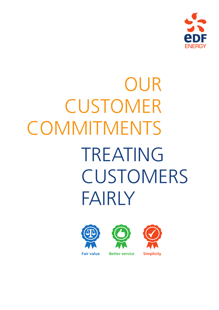

# TREATING **CUSTOMERS** FAIRLY OUR CUSTOMER **COMMITMENTS**





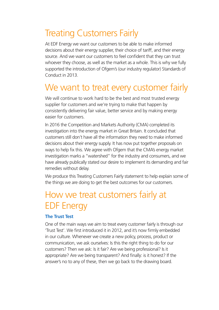# Treating Customers Fairly

At EDF Energy we want our customers to be able to make informed decisions about their energy supplier, their choice of tariff, and their energy source. And we want our customers to feel confident that they can trust whoever they choose, as well as the market as a whole. This is why we fully supported the introduction of Ofgem's (our industry regulator) Standards of Conduct in 2013.

## We want to treat every customer fairly

We will continue to work hard to be the best and most trusted energy supplier for customers and we're trying to make that happen by consistently delivering fair value, better service and by making energy easier for customers.

In 2016 the Competition and Markets Authority (CMA) completed its investigation into the energy market in Great Britain. It concluded that customers still don't have all the information they need to make informed decisions about their energy supply. It has now put together proposals on ways to help fix this. We agree with Ofgem that the CMA's energy market investigation marks a "watershed" for the industry and consumers, and we have already publically stated our desire to implement its demanding and fair remedies without delay.

We produce this Treating Customers Fairly statement to help explain some of the things we are doing to get the best outcomes for our customers.

# How we treat customers fairly at EDF Energy

#### **The Trust Test**

One of the main ways we aim to treat every customer fairly is through our 'Trust Test'. We first introduced it in 2012, and it's now firmly embedded in our culture. Whenever we create a new policy, process, product or communication, we ask ourselves: Is this the right thing to do for our customers? Then we ask: Is it fair? Are we being professional? Is it appropriate? Are we being transparent? And finally: is it honest? If the answer's no to any of these, then we go back to the drawing board.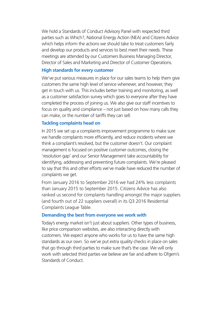We hold a Standards of Conduct Advisory Panel with respected third parties such as Which?, National Energy Action (NEA) and Citizens Advice which helps inform the actions we should take to treat customers fairly and develop our products and services to best meet their needs. These meetings are attended by our Customers Business Managing Director, Director of Sales and Marketing and Director of Customer Operations.

#### **High standards for every customer**

We've put various measures in place for our sales teams to help them give customers the same high level of service whenever, and however, they get in touch with us. This includes better training and monitoring, as well as a customer satisfaction survey which goes to everyone after they have completed the process of joining us. We also give our staff incentives to focus on quality and compliance – not just based on how many calls they can make, or the number of tariffs they can sell.

#### **Tackling complaints head on**

In 2015 we set up a complaints improvement programme to make sure we handle complaints more efficiently, and reduce incidents where we think a complaint's resolved, but the customer doesn't. Our complaint management is focused on positive customer outcomes, closing the 'resolution gap' and our Senior Management take accountability for identifying, addressing and preventing future complaints. We're pleased to say that this and other efforts we've made have reduced the number of complaints we get.

From January 2016 to September 2016 we had 24% less complaints than January 2015 to September 2015. Citizens Advice has also ranked us second for complaints handling amongst the major suppliers (and fourth out of 22 suppliers overall) in its Q3 2016 Residential Complaints League Table.

#### **Demanding the best from everyone we work with**

Today's energy market isn't just about suppliers. Other types of business, like price comparison websites, are also interacting directly with customers. We expect anyone who works for us to have the same high standards as our own. So we've put extra quality checks in place on sales that go through third parties to make sure that's the case. We will only work with selected third parties we believe are fair and adhere to Ofgem's Standards of Conduct.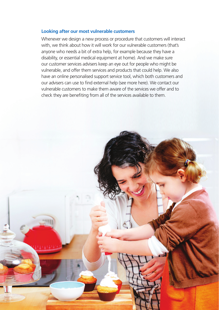#### **Looking after our most vulnerable customers**

Whenever we design a new process or procedure that customers will interact with, we think about how it will work for our vulnerable customers (that's anyone who needs a bit of extra help, for example because they have a disability, or essential medical equipment at home). And we make sure our customer services advisers keep an eye out for people who might be vulnerable, and offer them services and products that could help. We also have an online personalised support service tool, which both customers and our advisers can use to find external help (see more here). We contact our vulnerable customers to make them aware of the services we offer and to check they are benefiting from all of the services available to them.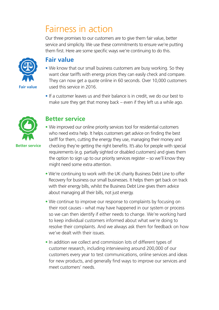# Fairness in action

Our three promises to our customers are to give them fair value, better service and simplicity. We use these commitments to ensure we're putting them first. Here are some specific ways we're continuing to do this.



### **Fair value**

- We know that our small business customers are busy working. So they want clear tariffs with energy prices they can easily check and compare. They can now get a quote online in 60 seconds. Over 10,000 customers used this service in 2016.
- If a customer leaves us and their balance is in credit, we do our best to make sure they get that money back – even if they left us a while ago.



## **Better service**

- We improved our online priority services tool for residential customers who need extra help. It helps customers get advice on finding the best tariff for them, cutting the energy they use, managing their money and checking they're getting the right benefits. It's also for people with special requirements (e.g. partially sighted or disabled customers) and gives them the option to sign up to our priority services register – so we'll know they might need some extra attention.
- We're continuing to work with the UK charity Business Debt Line to offer Recovery for business our small businesses. It helps them get back on track with their energy bills, whilst the Business Debt Line gives them advice about managing all their bills, not just energy.
- We continue to improve our response to complaints by focusing on their root causes - what may have happened in our system or process so we can then identify if either needs to change. We're working hard to keep individual customers informed about what we're doing to resolve their complaints. And we always ask them for feedback on how we've dealt with their issues.
- In addition we collect and commission lots of different types of customer research, including interviewing around 200,000 of our customers every year to test communications, online services and ideas for new products, and generally find ways to improve our services and meet customers' needs.